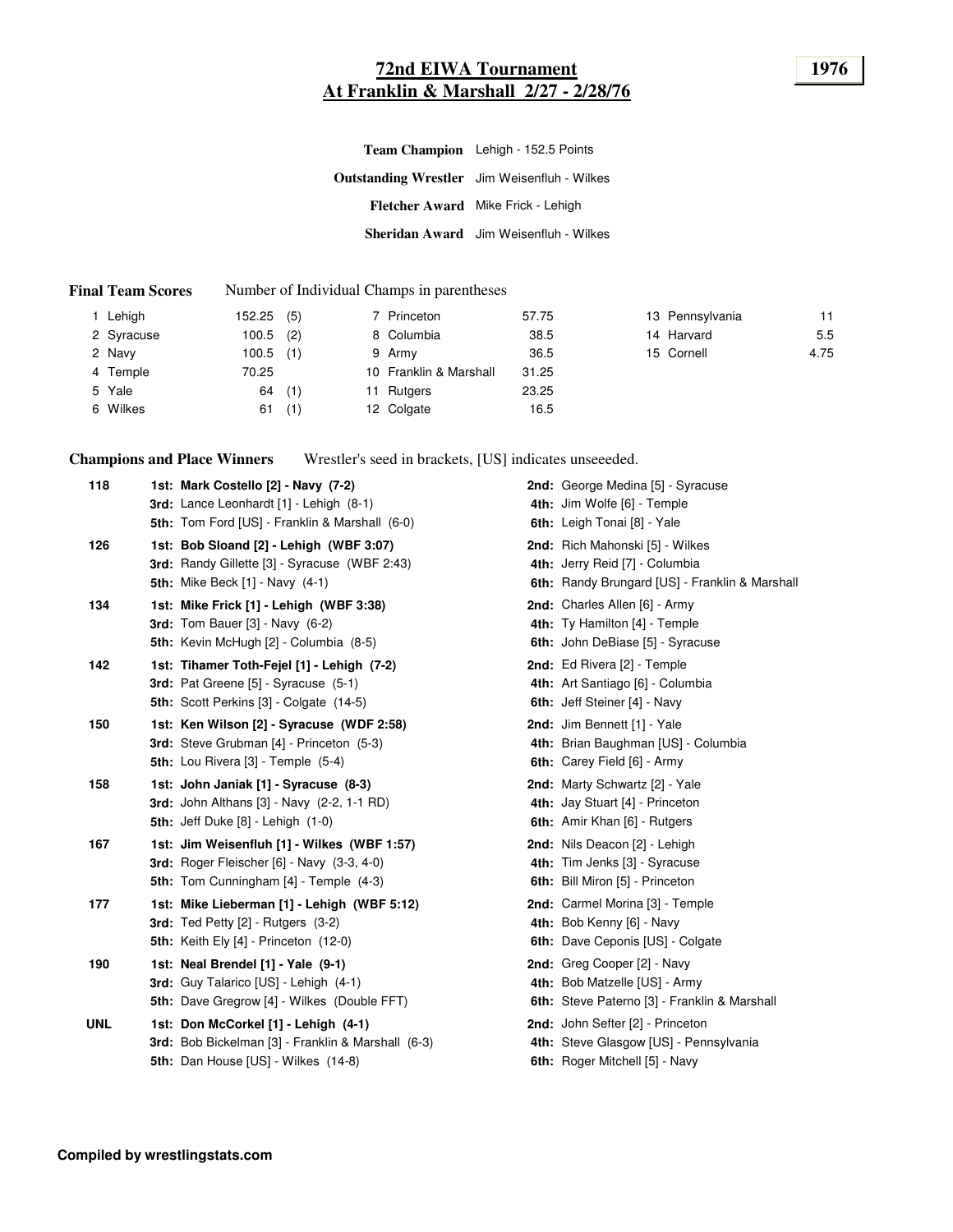# **72nd EIWA Tournament 1976 At Franklin & Marshall 2/27 - 2/28/76**

| Team Champion Lehigh - 152.5 Points                 |
|-----------------------------------------------------|
| <b>Outstanding Wrestler</b> Jim Weisenfluh - Wilkes |
| Fletcher Award Mike Frick - Lehigh                  |
| <b>Sheridan Award</b> Jim Weisenfluh - Wilkes       |

#### **Final Team Scores** Number of Individual Champs in parentheses

| Lehigh     | $152.25$ (5) |     | 7 Princeton            | 57.75 | 13 Pennsylvania | 11   |
|------------|--------------|-----|------------------------|-------|-----------------|------|
| 2 Syracuse | 100.5        | (2) | 8 Columbia             | 38.5  | 14 Harvard      | 5.5  |
| 2 Navy     | 100.5        | (1) | 9 Army                 | 36.5  | 15 Cornell      | 4.75 |
| 4 Temple   | 70.25        |     | 10 Franklin & Marshall | 31.25 |                 |      |
| 5 Yale     | 64           | (1) | 11 Rutgers             | 23.25 |                 |      |
| 6 Wilkes   | 61           | (1) | 12 Colgate             | 16.5  |                 |      |

**Champions and Place Winners** Wrestler's seed in brackets, [US] indicates unseeeded.

| 118        | 1st: Mark Costello [2] - Navy (7-2)<br><b>3rd:</b> Lance Leonhardt $[1]$ - Lehigh $(8-1)$                                                         | <b>2nd:</b> George Medina [5] - Syracuse<br>4th: Jim Wolfe [6] - Temple                                      |
|------------|---------------------------------------------------------------------------------------------------------------------------------------------------|--------------------------------------------------------------------------------------------------------------|
| 126        | 5th: Tom Ford [US] - Franklin & Marshall (6-0)<br>1st: Bob Sloand [2] - Lehigh (WBF 3:07)<br>3rd: Randy Gillette [3] - Syracuse (WBF 2:43)        | 6th: Leigh Tonai [8] - Yale<br>2nd: Rich Mahonski [5] - Wilkes<br>4th: Jerry Reid [7] - Columbia             |
| 134        | <b>5th:</b> Mike Beck [1] - Navy (4-1)<br>1st: Mike Frick [1] - Lehigh (WBF 3:38)                                                                 | 6th: Randy Brungard [US] - Franklin & Marshall<br>2nd: Charles Allen [6] - Army                              |
|            | <b>3rd:</b> Tom Bauer $[3]$ - Navy $(6-2)$<br><b>5th:</b> Kevin McHugh [2] - Columbia (8-5)                                                       | 4th: Ty Hamilton [4] - Temple<br><b>6th:</b> John DeBiase [5] - Syracuse                                     |
| 142        | 1st: Tihamer Toth-Fejel [1] - Lehigh (7-2)<br><b>3rd:</b> Pat Greene [5] - Syracuse (5-1)<br><b>5th:</b> Scott Perkins [3] - Colgate (14-5)       | 2nd: Ed Rivera [2] - Temple<br>4th: Art Santiago [6] - Columbia<br>6th: Jeff Steiner [4] - Navy              |
| 150        | 1st: Ken Wilson [2] - Syracuse (WDF 2:58)<br>3rd: Steve Grubman [4] - Princeton (5-3)<br><b>5th:</b> Lou Rivera $[3]$ - Temple $(5-4)$            | 2nd: Jim Bennett [1] - Yale<br>4th: Brian Baughman [US] - Columbia<br>6th: Carey Field [6] - Army            |
| 158        | 1st: John Janiak [1] - Syracuse (8-3)<br><b>3rd:</b> John Althans [3] - Navy (2-2, 1-1 RD)<br><b>5th: Jeff Duke [8] - Lehigh (1-0)</b>            | 2nd: Marty Schwartz [2] - Yale<br>4th: Jay Stuart [4] - Princeton<br>6th: Amir Khan [6] - Rutgers            |
| 167        | 1st: Jim Weisenfluh [1] - Wilkes (WBF 1:57)<br><b>3rd:</b> Roger Fleischer [6] - Navy (3-3, 4-0)<br><b>5th:</b> Tom Cunningham [4] - Temple (4-3) | 2nd: Nils Deacon [2] - Lehigh<br>4th: Tim Jenks [3] - Syracuse<br>6th: Bill Miron [5] - Princeton            |
| 177        | 1st: Mike Lieberman [1] - Lehigh (WBF 5:12)<br><b>3rd:</b> Ted Petty $[2]$ - Rutgers $(3-2)$<br>5th: Keith Ely [4] - Princeton (12-0)             | 2nd: Carmel Morina [3] - Temple<br>4th: Bob Kenny [6] - Navy<br>6th: Dave Ceponis [US] - Colgate             |
| 190        | 1st: Neal Brendel [1] - Yale (9-1)<br>3rd: Guy Talarico [US] - Lehigh (4-1)<br>5th: Dave Gregrow [4] - Wilkes (Double FFT)                        | 2nd: Greg Cooper [2] - Navy<br>4th: Bob Matzelle [US] - Army<br>6th: Steve Paterno [3] - Franklin & Marshall |
| <b>UNL</b> | 1st: Don McCorkel [1] - Lehigh (4-1)<br>3rd: Bob Bickelman [3] - Franklin & Marshall (6-3)<br>5th: Dan House [US] - Wilkes (14-8)                 | 2nd: John Sefter [2] - Princeton<br>4th: Steve Glasgow [US] - Pennsylvania<br>6th: Roger Mitchell [5] - Navy |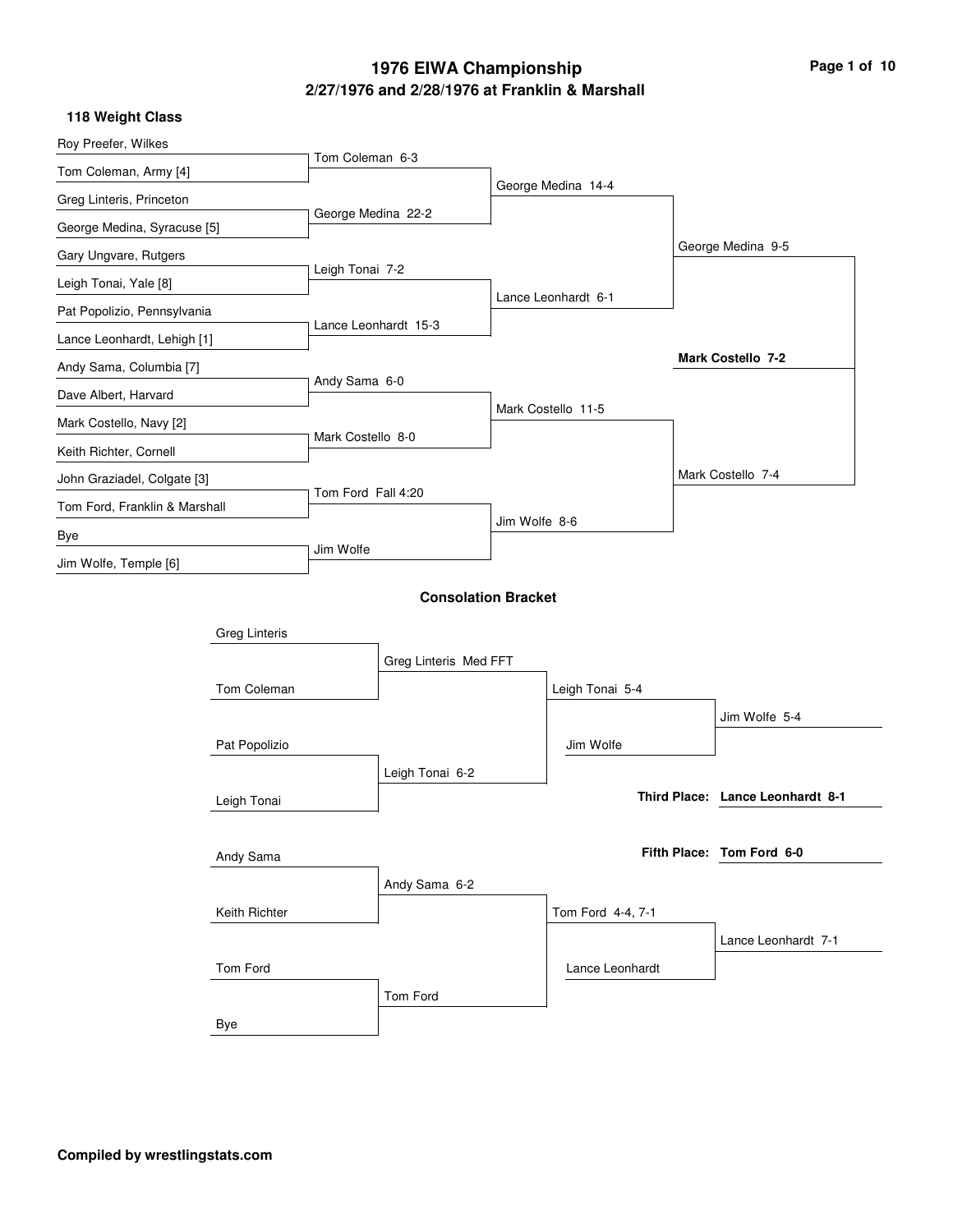# **2/27/1976 and 2/28/1976 at Franklin & Marshall 1976 EIWA Championship Page 1 of 10**

|  | 118 Weight Class |  |
|--|------------------|--|
|--|------------------|--|

| . .v v.y v.uvv                |                      |                    |                            |               |                     |                                  |
|-------------------------------|----------------------|--------------------|----------------------------|---------------|---------------------|----------------------------------|
| Roy Preefer, Wilkes           |                      | Tom Coleman 6-3    |                            |               |                     |                                  |
| Tom Coleman, Army [4]         |                      |                    |                            |               |                     |                                  |
| Greg Linteris, Princeton      |                      |                    |                            |               | George Medina 14-4  |                                  |
| George Medina, Syracuse [5]   |                      | George Medina 22-2 |                            |               |                     |                                  |
| Gary Ungvare, Rutgers         |                      |                    |                            |               |                     | George Medina 9-5                |
| Leigh Tonai, Yale [8]         |                      | Leigh Tonai 7-2    |                            |               |                     |                                  |
| Pat Popolizio, Pennsylvania   |                      |                    |                            |               | Lance Leonhardt 6-1 |                                  |
| Lance Leonhardt, Lehigh [1]   |                      |                    | Lance Leonhardt 15-3       |               |                     |                                  |
| Andy Sama, Columbia [7]       |                      |                    |                            |               |                     | Mark Costello 7-2                |
| Dave Albert, Harvard          |                      | Andy Sama 6-0      |                            |               |                     |                                  |
| Mark Costello, Navy [2]       |                      |                    |                            |               | Mark Costello 11-5  |                                  |
| Keith Richter, Cornell        |                      | Mark Costello 8-0  |                            |               |                     |                                  |
| John Graziadel, Colgate [3]   |                      |                    |                            |               |                     | Mark Costello 7-4                |
| Tom Ford, Franklin & Marshall |                      | Tom Ford Fall 4:20 |                            |               |                     |                                  |
| Bye                           |                      |                    |                            | Jim Wolfe 8-6 |                     |                                  |
| Jim Wolfe, Temple [6]         |                      | Jim Wolfe          |                            |               |                     |                                  |
|                               |                      |                    | <b>Consolation Bracket</b> |               |                     |                                  |
|                               |                      |                    |                            |               |                     |                                  |
|                               | <b>Greg Linteris</b> |                    |                            |               |                     |                                  |
|                               |                      |                    | Greg Linteris Med FFT      |               |                     |                                  |
|                               | Tom Coleman          |                    |                            |               | Leigh Tonai 5-4     |                                  |
|                               |                      |                    |                            |               |                     | Jim Wolfe 5-4                    |
|                               | Pat Popolizio        |                    |                            |               | Jim Wolfe           |                                  |
|                               |                      |                    | Leigh Tonai 6-2            |               |                     |                                  |
|                               | Leigh Tonai          |                    |                            |               |                     | Third Place: Lance Leonhardt 8-1 |
|                               |                      |                    |                            |               |                     |                                  |
|                               | Andy Sama            |                    |                            |               |                     | Fifth Place: Tom Ford 6-0        |
|                               |                      |                    | Andy Sama 6-2              |               |                     |                                  |
|                               | Keith Richter        |                    |                            |               | Tom Ford 4-4, 7-1   |                                  |
|                               |                      |                    |                            |               |                     | Lance Leonhardt 7-1              |
|                               | Tom Ford             |                    |                            |               | Lance Leonhardt     |                                  |
|                               |                      |                    | Tom Ford                   |               |                     |                                  |
|                               | Bye                  |                    |                            |               |                     |                                  |
|                               |                      |                    |                            |               |                     |                                  |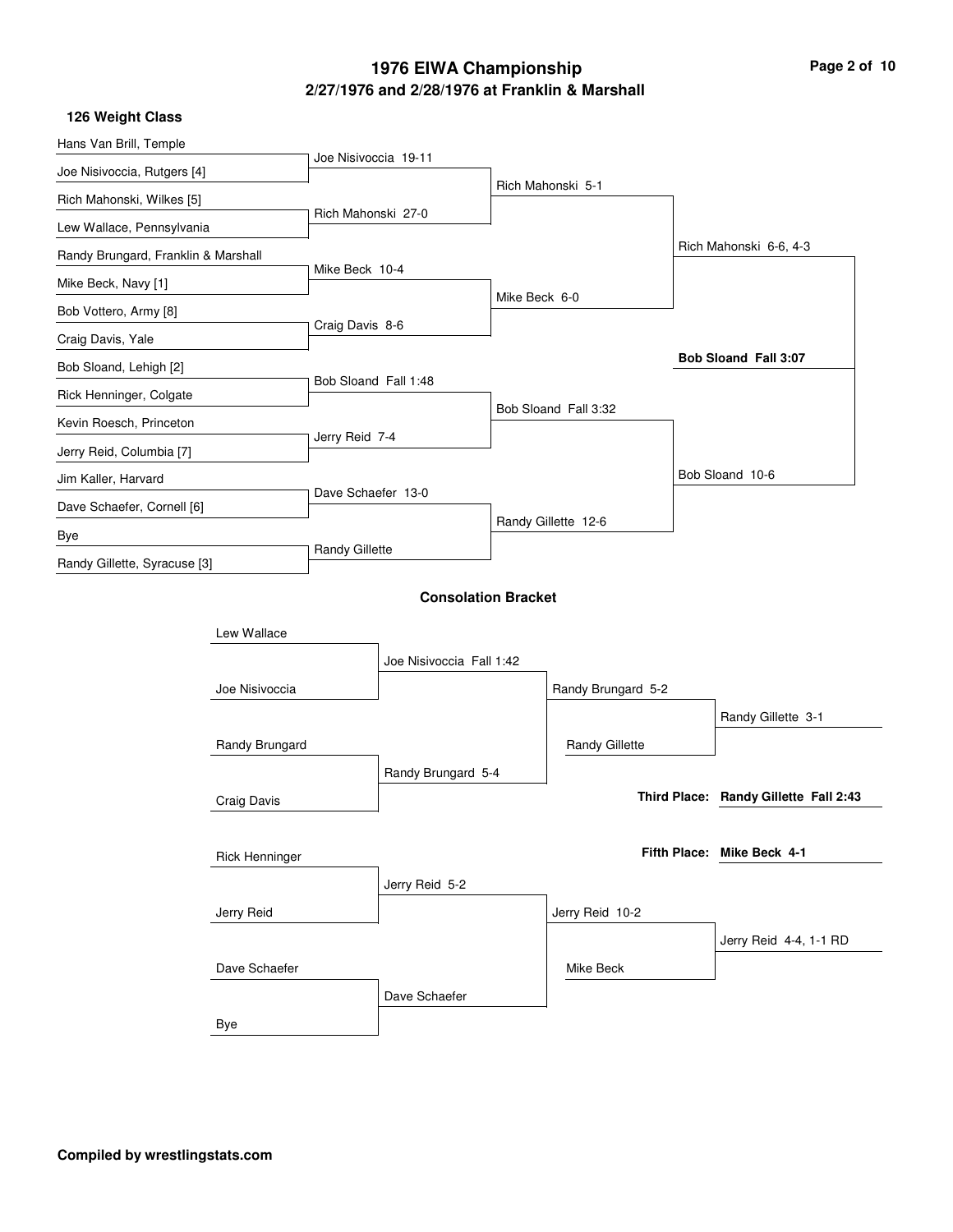# **2/27/1976 and 2/28/1976 at Franklin & Marshall 1976 EIWA Championship Page 2 of 10**

|  | 126 Weight Class |  |
|--|------------------|--|
|--|------------------|--|

| Hans Van Brill, Temple              |                       | Joe Nisivoccia 19-11       |                          |                     |                       |  |                                       |
|-------------------------------------|-----------------------|----------------------------|--------------------------|---------------------|-----------------------|--|---------------------------------------|
| Joe Nisivoccia, Rutgers [4]         |                       |                            |                          |                     | Rich Mahonski 5-1     |  |                                       |
| Rich Mahonski, Wilkes [5]           |                       |                            |                          |                     |                       |  |                                       |
| Lew Wallace, Pennsylvania           |                       | Rich Mahonski 27-0         |                          |                     |                       |  |                                       |
| Randy Brungard, Franklin & Marshall |                       |                            |                          |                     |                       |  | Rich Mahonski 6-6, 4-3                |
| Mike Beck, Navy [1]                 |                       | Mike Beck 10-4             |                          |                     |                       |  |                                       |
| Bob Vottero, Army [8]               |                       |                            |                          | Mike Beck 6-0       |                       |  |                                       |
| Craig Davis, Yale                   |                       | Craig Davis 8-6            |                          |                     |                       |  |                                       |
| Bob Sloand, Lehigh [2]              |                       |                            |                          |                     |                       |  | Bob Sloand Fall 3:07                  |
| Rick Henninger, Colgate             |                       | Bob Sloand Fall 1:48       |                          |                     |                       |  |                                       |
| Kevin Roesch, Princeton             |                       |                            |                          |                     | Bob Sloand Fall 3:32  |  |                                       |
| Jerry Reid, Columbia [7]            |                       | Jerry Reid 7-4             |                          |                     |                       |  |                                       |
| Jim Kaller, Harvard                 |                       |                            |                          |                     |                       |  | Bob Sloand 10-6                       |
| Dave Schaefer, Cornell [6]          |                       | Dave Schaefer 13-0         |                          |                     |                       |  |                                       |
| Bye                                 |                       |                            |                          | Randy Gillette 12-6 |                       |  |                                       |
| Randy Gillette, Syracuse [3]        |                       | <b>Randy Gillette</b>      |                          |                     |                       |  |                                       |
|                                     |                       | <b>Consolation Bracket</b> |                          |                     |                       |  |                                       |
|                                     |                       |                            |                          |                     |                       |  |                                       |
|                                     | Lew Wallace           |                            |                          |                     |                       |  |                                       |
|                                     |                       |                            | Joe Nisivoccia Fall 1:42 |                     |                       |  |                                       |
|                                     | Joe Nisivoccia        |                            |                          |                     | Randy Brungard 5-2    |  |                                       |
|                                     |                       |                            |                          |                     |                       |  | Randy Gillette 3-1                    |
|                                     | Randy Brungard        |                            |                          |                     | <b>Randy Gillette</b> |  |                                       |
|                                     |                       |                            | Randy Brungard 5-4       |                     |                       |  |                                       |
|                                     | Craig Davis           |                            |                          |                     |                       |  | Third Place: Randy Gillette Fall 2:43 |
|                                     |                       |                            |                          |                     |                       |  |                                       |
|                                     | <b>Rick Henninger</b> |                            |                          |                     |                       |  | Fifth Place: Mike Beck 4-1            |
|                                     |                       |                            | Jerry Reid 5-2           |                     |                       |  |                                       |
|                                     | Jerry Reid            |                            |                          |                     | Jerry Reid 10-2       |  |                                       |
|                                     |                       |                            |                          |                     |                       |  | Jerry Reid 4-4, 1-1 RD                |
|                                     | Dave Schaefer         |                            |                          |                     | Mike Beck             |  |                                       |
|                                     |                       |                            | Dave Schaefer            |                     |                       |  |                                       |
|                                     | Bye                   |                            |                          |                     |                       |  |                                       |
|                                     |                       |                            |                          |                     |                       |  |                                       |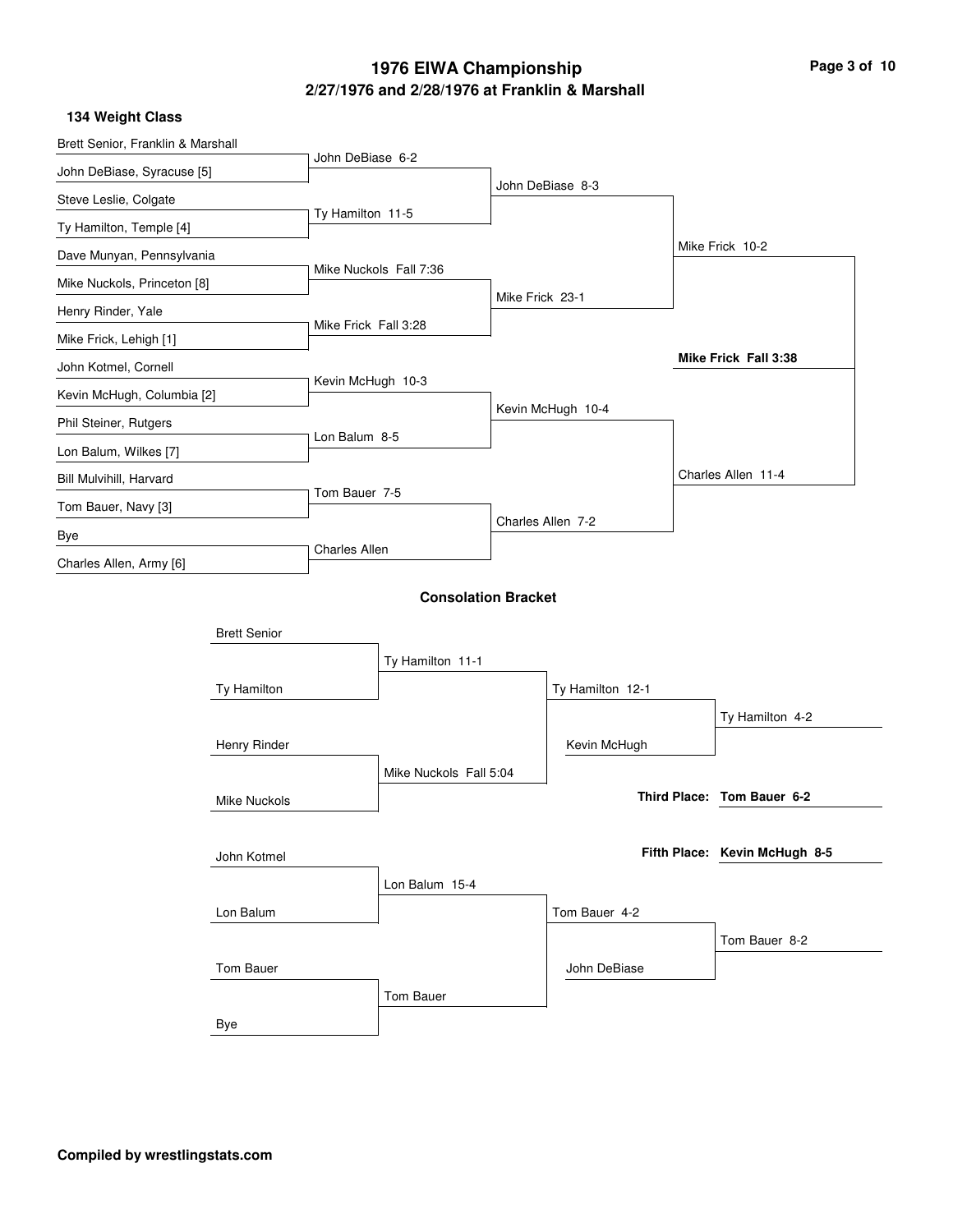# **2/27/1976 and 2/28/1976 at Franklin & Marshall 1976 EIWA Championship Page 3 of 10**

**134 Weight Class**

| Brett Senior, Franklin & Marshall |                     |                      |                            |                 |                   |                               |
|-----------------------------------|---------------------|----------------------|----------------------------|-----------------|-------------------|-------------------------------|
| John DeBiase, Syracuse [5]        |                     | John DeBiase 6-2     |                            |                 |                   |                               |
| Steve Leslie, Colgate             |                     |                      |                            |                 | John DeBiase 8-3  |                               |
| Ty Hamilton, Temple [4]           |                     | Ty Hamilton 11-5     |                            |                 |                   |                               |
| Dave Munyan, Pennsylvania         |                     |                      |                            |                 |                   | Mike Frick 10-2               |
| Mike Nuckols, Princeton [8]       |                     |                      | Mike Nuckols Fall 7:36     |                 |                   |                               |
| Henry Rinder, Yale                |                     |                      |                            | Mike Frick 23-1 |                   |                               |
| Mike Frick, Lehigh [1]            |                     | Mike Frick Fall 3:28 |                            |                 |                   |                               |
| John Kotmel, Cornell              |                     |                      |                            |                 |                   | Mike Frick Fall 3:38          |
| Kevin McHugh, Columbia [2]        |                     | Kevin McHugh 10-3    |                            |                 |                   |                               |
| Phil Steiner, Rutgers             |                     |                      |                            |                 | Kevin McHugh 10-4 |                               |
| Lon Balum, Wilkes [7]             |                     | Lon Balum 8-5        |                            |                 |                   |                               |
| Bill Mulvihill, Harvard           |                     |                      |                            |                 |                   | Charles Allen 11-4            |
| Tom Bauer, Navy [3]               |                     | Tom Bauer 7-5        |                            |                 |                   |                               |
| Bye                               |                     |                      |                            |                 | Charles Allen 7-2 |                               |
| Charles Allen, Army [6]           |                     | <b>Charles Allen</b> |                            |                 |                   |                               |
|                                   |                     |                      | <b>Consolation Bracket</b> |                 |                   |                               |
|                                   | <b>Brett Senior</b> |                      |                            |                 |                   |                               |
|                                   |                     |                      | Ty Hamilton 11-1           |                 |                   |                               |
|                                   | Ty Hamilton         |                      |                            |                 | Ty Hamilton 12-1  |                               |
|                                   |                     |                      |                            |                 |                   | Ty Hamilton 4-2               |
|                                   | Henry Rinder        |                      |                            |                 | Kevin McHugh      |                               |
|                                   |                     |                      | Mike Nuckols Fall 5:04     |                 |                   |                               |
|                                   | <b>Mike Nuckols</b> |                      |                            |                 |                   | Third Place: Tom Bauer 6-2    |
|                                   |                     |                      |                            |                 |                   |                               |
|                                   | John Kotmel         |                      |                            |                 |                   | Fifth Place: Kevin McHugh 8-5 |
|                                   |                     |                      | Lon Balum 15-4             |                 |                   |                               |
|                                   | Lon Balum           |                      |                            |                 | Tom Bauer 4-2     |                               |
|                                   |                     |                      |                            |                 |                   | Tom Bauer 8-2                 |
|                                   | Tom Bauer           |                      |                            |                 | John DeBiase      |                               |
|                                   |                     |                      | Tom Bauer                  |                 |                   |                               |
|                                   | Bye                 |                      |                            |                 |                   |                               |
|                                   |                     |                      |                            |                 |                   |                               |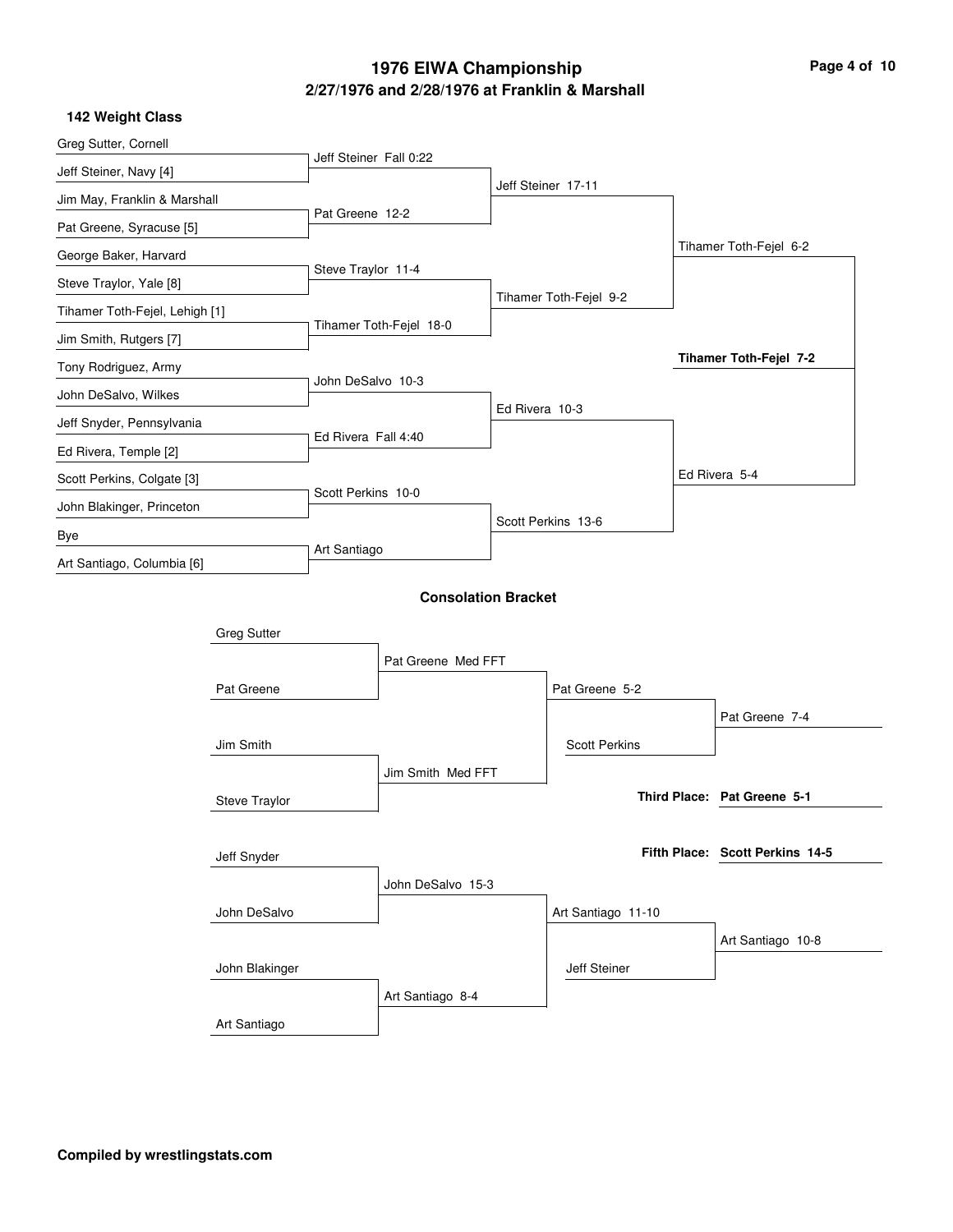# **2/27/1976 and 2/28/1976 at Franklin & Marshall 1976 EIWA Championship Page 4 of 10**

|  | <b>142 Weight Class</b> |  |
|--|-------------------------|--|
|--|-------------------------|--|

| Greg Sutter, Cornell              |                    |                        |                            |                |                        |                                 |  |
|-----------------------------------|--------------------|------------------------|----------------------------|----------------|------------------------|---------------------------------|--|
| Jeff Steiner, Navy [4]            |                    | Jeff Steiner Fall 0:22 |                            |                |                        |                                 |  |
| Jim May, Franklin & Marshall      |                    |                        |                            |                | Jeff Steiner 17-11     |                                 |  |
| Pat Greene, Syracuse [5]          |                    | Pat Greene 12-2        |                            |                |                        |                                 |  |
| George Baker, Harvard             |                    |                        |                            |                |                        | Tihamer Toth-Fejel 6-2          |  |
| Steve Traylor, Yale [8]           |                    | Steve Traylor 11-4     |                            |                |                        |                                 |  |
| Tihamer Toth-Fejel, Lehigh [1]    |                    |                        |                            |                | Tihamer Toth-Fejel 9-2 |                                 |  |
| Jim Smith, Rutgers [7]            |                    |                        | Tihamer Toth-Fejel 18-0    |                |                        |                                 |  |
| Tony Rodriguez, Army              |                    |                        |                            |                |                        | Tihamer Toth-Fejel 7-2          |  |
| John DeSalvo, Wilkes              |                    | John DeSalvo 10-3      |                            |                |                        |                                 |  |
| Jeff Snyder, Pennsylvania         |                    |                        |                            | Ed Rivera 10-3 |                        |                                 |  |
| Ed Rivera, Temple [2]             |                    | Ed Rivera Fall 4:40    |                            |                |                        |                                 |  |
| Scott Perkins, Colgate [3]        |                    |                        |                            |                |                        | Ed Rivera 5-4                   |  |
| John Blakinger, Princeton         |                    | Scott Perkins 10-0     |                            |                |                        |                                 |  |
|                                   |                    |                        |                            |                | Scott Perkins 13-6     |                                 |  |
| Bye<br>Art Santiago, Columbia [6] |                    | Art Santiago           |                            |                |                        |                                 |  |
|                                   |                    |                        |                            |                |                        |                                 |  |
|                                   |                    |                        | <b>Consolation Bracket</b> |                |                        |                                 |  |
|                                   | <b>Greg Sutter</b> |                        |                            |                |                        |                                 |  |
|                                   |                    |                        | Pat Greene Med FFT         |                |                        |                                 |  |
|                                   | Pat Greene         |                        |                            |                | Pat Greene 5-2         |                                 |  |
|                                   |                    |                        |                            |                |                        | Pat Greene 7-4                  |  |
|                                   | Jim Smith          |                        |                            |                | <b>Scott Perkins</b>   |                                 |  |
|                                   |                    |                        | Jim Smith Med FFT          |                |                        |                                 |  |
|                                   | Steve Traylor      |                        |                            |                |                        | Third Place: Pat Greene 5-1     |  |
|                                   |                    |                        |                            |                |                        |                                 |  |
|                                   | Jeff Snyder        |                        |                            |                |                        | Fifth Place: Scott Perkins 14-5 |  |
|                                   |                    |                        | John DeSalvo 15-3          |                |                        |                                 |  |
|                                   | John DeSalvo       |                        |                            |                | Art Santiago 11-10     |                                 |  |
|                                   |                    |                        |                            |                |                        | Art Santiago 10-8               |  |
|                                   | John Blakinger     |                        |                            |                | Jeff Steiner           |                                 |  |
|                                   |                    |                        | Art Santiago 8-4           |                |                        |                                 |  |
|                                   | Art Santiago       |                        |                            |                |                        |                                 |  |
|                                   |                    |                        |                            |                |                        |                                 |  |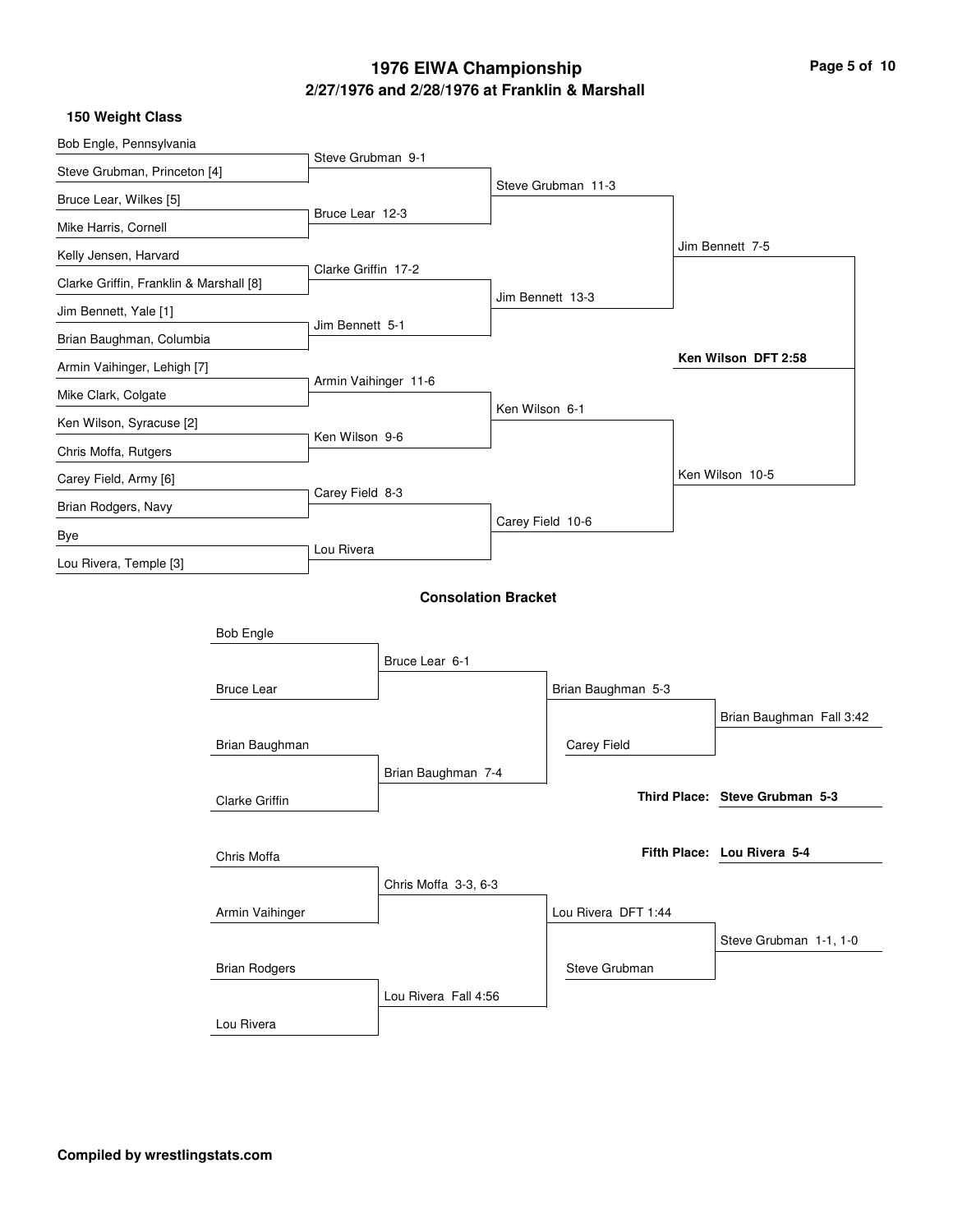# **2/27/1976 and 2/28/1976 at Franklin & Marshall 1976 EIWA Championship Page 5 of 10**

|  | 150 Weight Class |  |
|--|------------------|--|
|--|------------------|--|

| Bob Engle, Pennsylvania                 |                      |                      |                            |                  |                     |                                |  |
|-----------------------------------------|----------------------|----------------------|----------------------------|------------------|---------------------|--------------------------------|--|
| Steve Grubman, Princeton [4]            |                      | Steve Grubman 9-1    |                            |                  |                     |                                |  |
| Bruce Lear, Wilkes [5]                  |                      |                      |                            |                  | Steve Grubman 11-3  |                                |  |
| Mike Harris, Cornell                    |                      | Bruce Lear 12-3      |                            |                  |                     |                                |  |
| Kelly Jensen, Harvard                   |                      |                      |                            |                  |                     | Jim Bennett 7-5                |  |
| Clarke Griffin, Franklin & Marshall [8] |                      | Clarke Griffin 17-2  |                            |                  |                     |                                |  |
| Jim Bennett, Yale [1]                   |                      |                      |                            | Jim Bennett 13-3 |                     |                                |  |
| Brian Baughman, Columbia                |                      | Jim Bennett 5-1      |                            |                  |                     |                                |  |
| Armin Vaihinger, Lehigh [7]             |                      |                      |                            |                  |                     | Ken Wilson DFT 2:58            |  |
| Mike Clark, Colgate                     |                      | Armin Vaihinger 11-6 |                            |                  |                     |                                |  |
| Ken Wilson, Syracuse [2]                |                      |                      |                            | Ken Wilson 6-1   |                     |                                |  |
| Chris Moffa, Rutgers                    |                      | Ken Wilson 9-6       |                            |                  |                     |                                |  |
| Carey Field, Army [6]                   |                      |                      |                            |                  |                     | Ken Wilson 10-5                |  |
| Brian Rodgers, Navy                     |                      | Carey Field 8-3      |                            |                  |                     |                                |  |
| Bye                                     |                      |                      |                            | Carey Field 10-6 |                     |                                |  |
| Lou Rivera, Temple [3]                  |                      | Lou Rivera           |                            |                  |                     |                                |  |
|                                         |                      |                      | <b>Consolation Bracket</b> |                  |                     |                                |  |
|                                         | <b>Bob Engle</b>     |                      |                            |                  |                     |                                |  |
|                                         |                      |                      | Bruce Lear 6-1             |                  |                     |                                |  |
|                                         | <b>Bruce Lear</b>    |                      |                            |                  | Brian Baughman 5-3  |                                |  |
|                                         |                      |                      |                            |                  |                     | Brian Baughman Fall 3:42       |  |
|                                         | Brian Baughman       |                      |                            |                  | Carey Field         |                                |  |
|                                         |                      |                      | Brian Baughman 7-4         |                  |                     |                                |  |
|                                         | Clarke Griffin       |                      |                            |                  |                     | Third Place: Steve Grubman 5-3 |  |
|                                         |                      |                      |                            |                  |                     |                                |  |
|                                         | Chris Moffa          |                      |                            |                  |                     | Fifth Place: Lou Rivera 5-4    |  |
|                                         |                      |                      | Chris Moffa 3-3, 6-3       |                  |                     |                                |  |
|                                         | Armin Vaihinger      |                      |                            |                  | Lou Rivera DFT 1:44 |                                |  |
|                                         |                      |                      |                            |                  |                     | Steve Grubman 1-1, 1-0         |  |
|                                         | <b>Brian Rodgers</b> |                      |                            |                  | Steve Grubman       |                                |  |
|                                         |                      |                      | Lou Rivera Fall 4:56       |                  |                     |                                |  |
|                                         | Lou Rivera           |                      |                            |                  |                     |                                |  |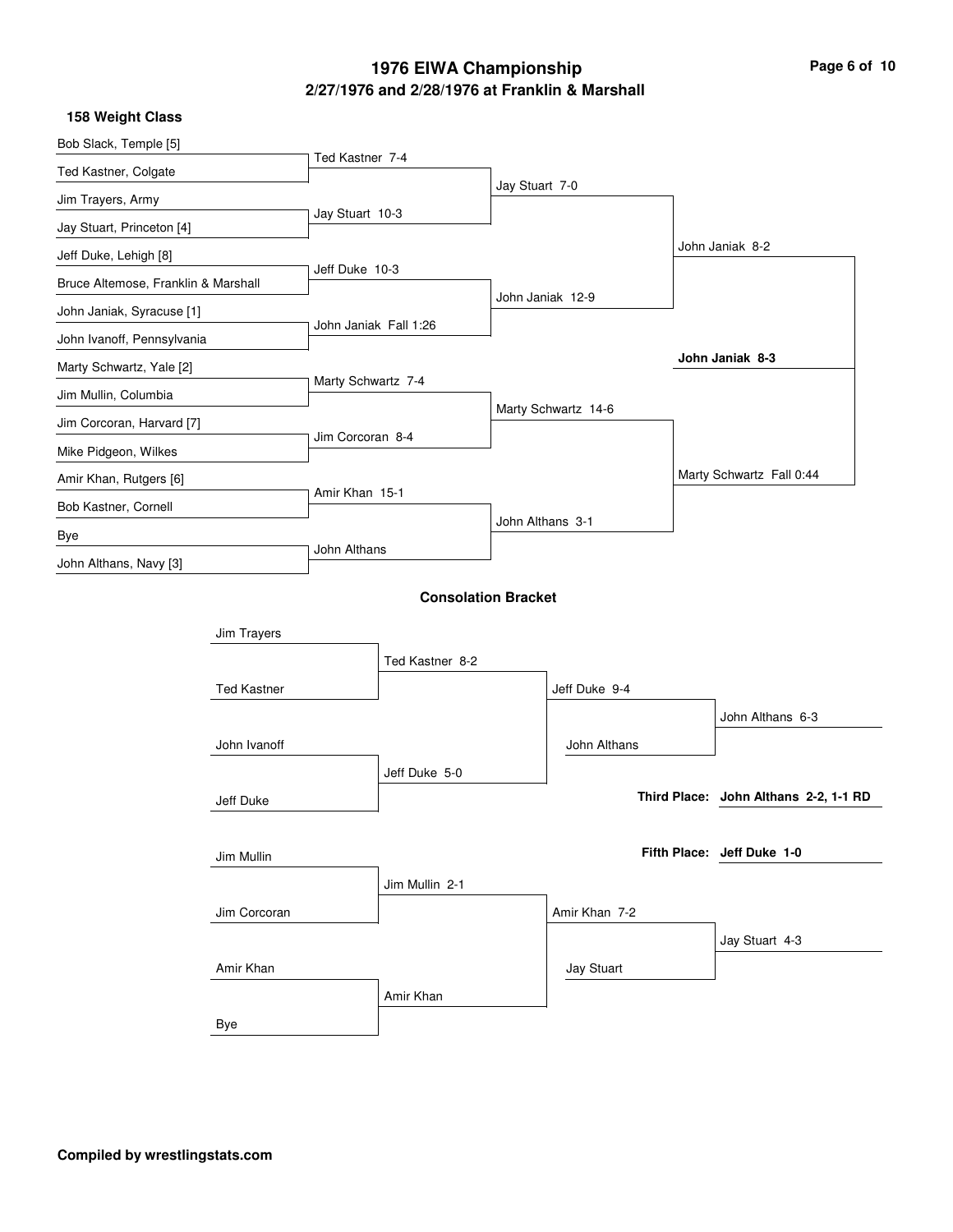# **2/27/1976 and 2/28/1976 at Franklin & Marshall 1976 EIWA Championship Page 6 of 10**

|  | 158 Weight Class |  |
|--|------------------|--|
|--|------------------|--|

| Bob Slack, Temple [5]               |                    | Ted Kastner 7-4       |                            |                |                     |                                       |
|-------------------------------------|--------------------|-----------------------|----------------------------|----------------|---------------------|---------------------------------------|
| Ted Kastner, Colgate                |                    |                       |                            | Jay Stuart 7-0 |                     |                                       |
| Jim Trayers, Army                   |                    |                       |                            |                |                     |                                       |
| Jay Stuart, Princeton [4]           |                    | Jay Stuart 10-3       |                            |                |                     |                                       |
| Jeff Duke, Lehigh [8]               |                    |                       |                            |                |                     | John Janiak 8-2                       |
| Bruce Altemose, Franklin & Marshall |                    | Jeff Duke 10-3        |                            |                |                     |                                       |
| John Janiak, Syracuse [1]           |                    |                       |                            |                | John Janiak 12-9    |                                       |
| John Ivanoff, Pennsylvania          |                    | John Janiak Fall 1:26 |                            |                |                     |                                       |
| Marty Schwartz, Yale [2]            |                    |                       |                            |                |                     | John Janiak 8-3                       |
| Jim Mullin, Columbia                |                    | Marty Schwartz 7-4    |                            |                |                     |                                       |
| Jim Corcoran, Harvard [7]           |                    |                       |                            |                | Marty Schwartz 14-6 |                                       |
| Mike Pidgeon, Wilkes                |                    | Jim Corcoran 8-4      |                            |                |                     |                                       |
| Amir Khan, Rutgers [6]              |                    |                       |                            |                |                     | Marty Schwartz Fall 0:44              |
| Bob Kastner, Cornell                |                    | Amir Khan 15-1        |                            |                | John Althans 3-1    |                                       |
| Bye                                 |                    |                       |                            |                |                     |                                       |
| John Althans, Navy [3]              |                    | John Althans          |                            |                |                     |                                       |
|                                     |                    |                       | <b>Consolation Bracket</b> |                |                     |                                       |
|                                     | Jim Trayers        |                       |                            |                |                     |                                       |
|                                     |                    |                       | Ted Kastner 8-2            |                |                     |                                       |
|                                     | <b>Ted Kastner</b> |                       |                            |                | Jeff Duke 9-4       |                                       |
|                                     |                    |                       |                            |                |                     |                                       |
|                                     |                    |                       |                            |                |                     | John Althans 6-3                      |
|                                     | John Ivanoff       |                       |                            |                | John Althans        |                                       |
|                                     |                    |                       | Jeff Duke 5-0              |                |                     |                                       |
|                                     | Jeff Duke          |                       |                            |                |                     | Third Place: John Althans 2-2, 1-1 RD |
|                                     |                    |                       |                            |                |                     | Fifth Place: Jeff Duke 1-0            |
|                                     | Jim Mullin         |                       |                            |                |                     |                                       |
|                                     |                    |                       | Jim Mullin 2-1             |                |                     |                                       |
|                                     | Jim Corcoran       |                       |                            |                | Amir Khan 7-2       |                                       |
|                                     |                    |                       |                            |                |                     | Jay Stuart 4-3                        |
|                                     | Amir Khan          |                       |                            |                | Jay Stuart          |                                       |
|                                     |                    |                       | Amir Khan                  |                |                     |                                       |
|                                     | Bye                |                       |                            |                |                     |                                       |
|                                     |                    |                       |                            |                |                     |                                       |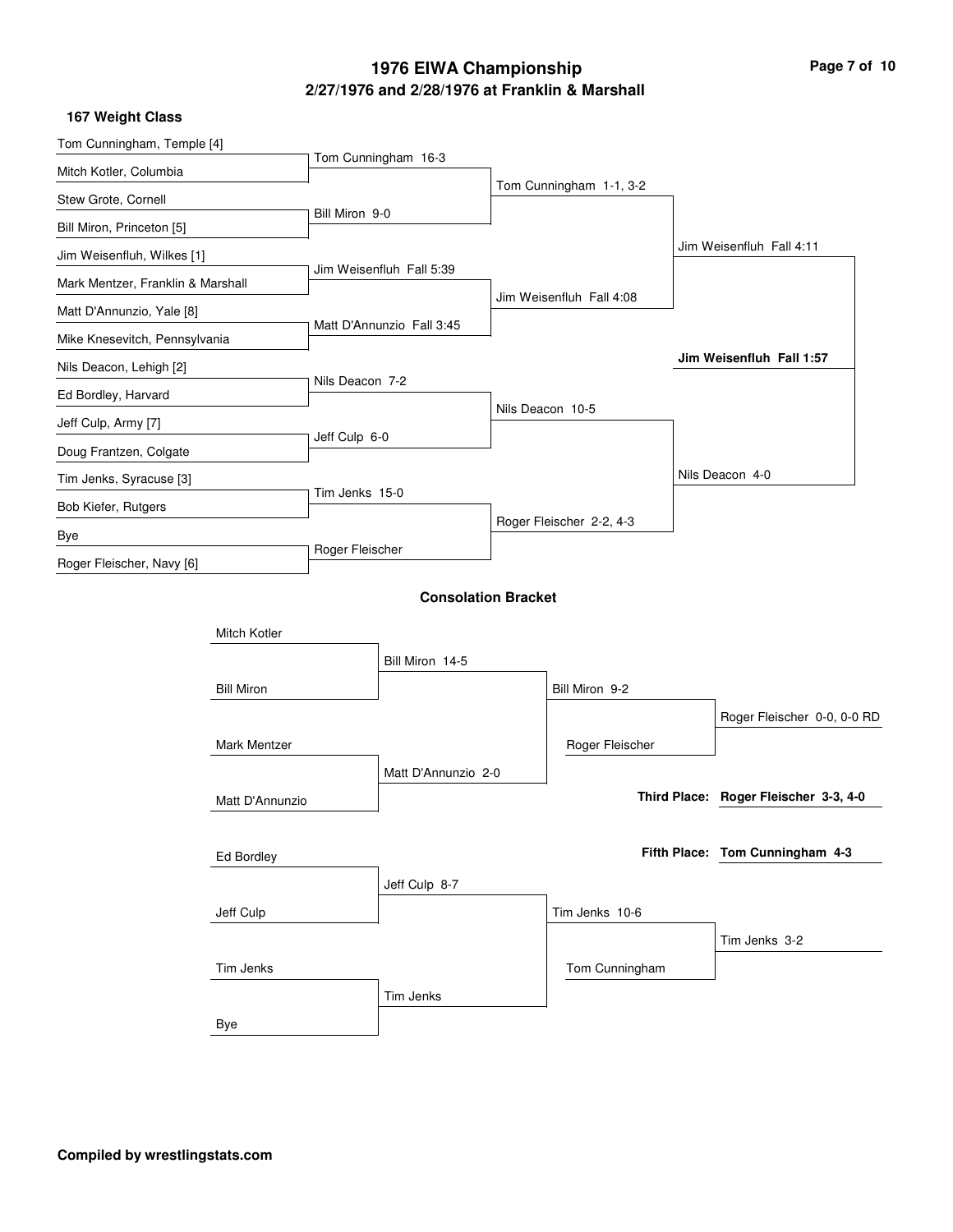# **2/27/1976 and 2/28/1976 at Franklin & Marshall 1976 EIWA Championship Page 7 of 10**

**167 Weight Class**

| Tom Cunningham, Temple [4]        |                   |                 |                            |                          |                                       |  |
|-----------------------------------|-------------------|-----------------|----------------------------|--------------------------|---------------------------------------|--|
| Mitch Kotler, Columbia            |                   |                 | Tom Cunningham 16-3        |                          |                                       |  |
| Stew Grote, Cornell               |                   |                 |                            | Tom Cunningham 1-1, 3-2  |                                       |  |
| Bill Miron, Princeton [5]         |                   | Bill Miron 9-0  |                            |                          |                                       |  |
| Jim Weisenfluh, Wilkes [1]        |                   |                 |                            |                          | Jim Weisenfluh Fall 4:11              |  |
| Mark Mentzer, Franklin & Marshall |                   |                 | Jim Weisenfluh Fall 5:39   |                          |                                       |  |
| Matt D'Annunzio, Yale [8]         |                   |                 |                            | Jim Weisenfluh Fall 4:08 |                                       |  |
| Mike Knesevitch, Pennsylvania     |                   |                 | Matt D'Annunzio Fall 3:45  |                          |                                       |  |
| Nils Deacon, Lehigh [2]           |                   |                 |                            |                          | Jim Weisenfluh Fall 1:57              |  |
| Ed Bordley, Harvard               |                   | Nils Deacon 7-2 |                            |                          |                                       |  |
| Jeff Culp, Army [7]               |                   |                 |                            | Nils Deacon 10-5         |                                       |  |
| Doug Frantzen, Colgate            |                   | Jeff Culp 6-0   |                            |                          |                                       |  |
| Tim Jenks, Syracuse [3]           |                   |                 |                            |                          | Nils Deacon 4-0                       |  |
| Bob Kiefer, Rutgers               |                   | Tim Jenks 15-0  |                            |                          |                                       |  |
| Bye                               |                   |                 |                            | Roger Fleischer 2-2, 4-3 |                                       |  |
| Roger Fleischer, Navy [6]         |                   | Roger Fleischer |                            |                          |                                       |  |
|                                   |                   |                 | <b>Consolation Bracket</b> |                          |                                       |  |
|                                   | Mitch Kotler      |                 |                            |                          |                                       |  |
|                                   |                   |                 |                            |                          |                                       |  |
|                                   |                   |                 | Bill Miron 14-5            |                          |                                       |  |
|                                   | <b>Bill Miron</b> |                 |                            | Bill Miron 9-2           |                                       |  |
|                                   | Mark Mentzer      |                 |                            |                          | Roger Fleischer 0-0, 0-0 RD           |  |
|                                   |                   |                 | Matt D'Annunzio 2-0        | Roger Fleischer          |                                       |  |
|                                   |                   |                 |                            |                          | Third Place: Roger Fleischer 3-3, 4-0 |  |
|                                   | Matt D'Annunzio   |                 |                            |                          |                                       |  |
|                                   | <b>Ed Bordley</b> |                 |                            |                          | Fifth Place: Tom Cunningham 4-3       |  |
|                                   |                   |                 | Jeff Culp 8-7              |                          |                                       |  |
|                                   | Jeff Culp         |                 |                            | Tim Jenks 10-6           |                                       |  |
|                                   |                   |                 |                            |                          | Tim Jenks 3-2                         |  |
|                                   | Tim Jenks         |                 |                            | Tom Cunningham           |                                       |  |
|                                   |                   |                 | Tim Jenks                  |                          |                                       |  |
| Bye                               |                   |                 |                            |                          |                                       |  |
|                                   |                   |                 |                            |                          |                                       |  |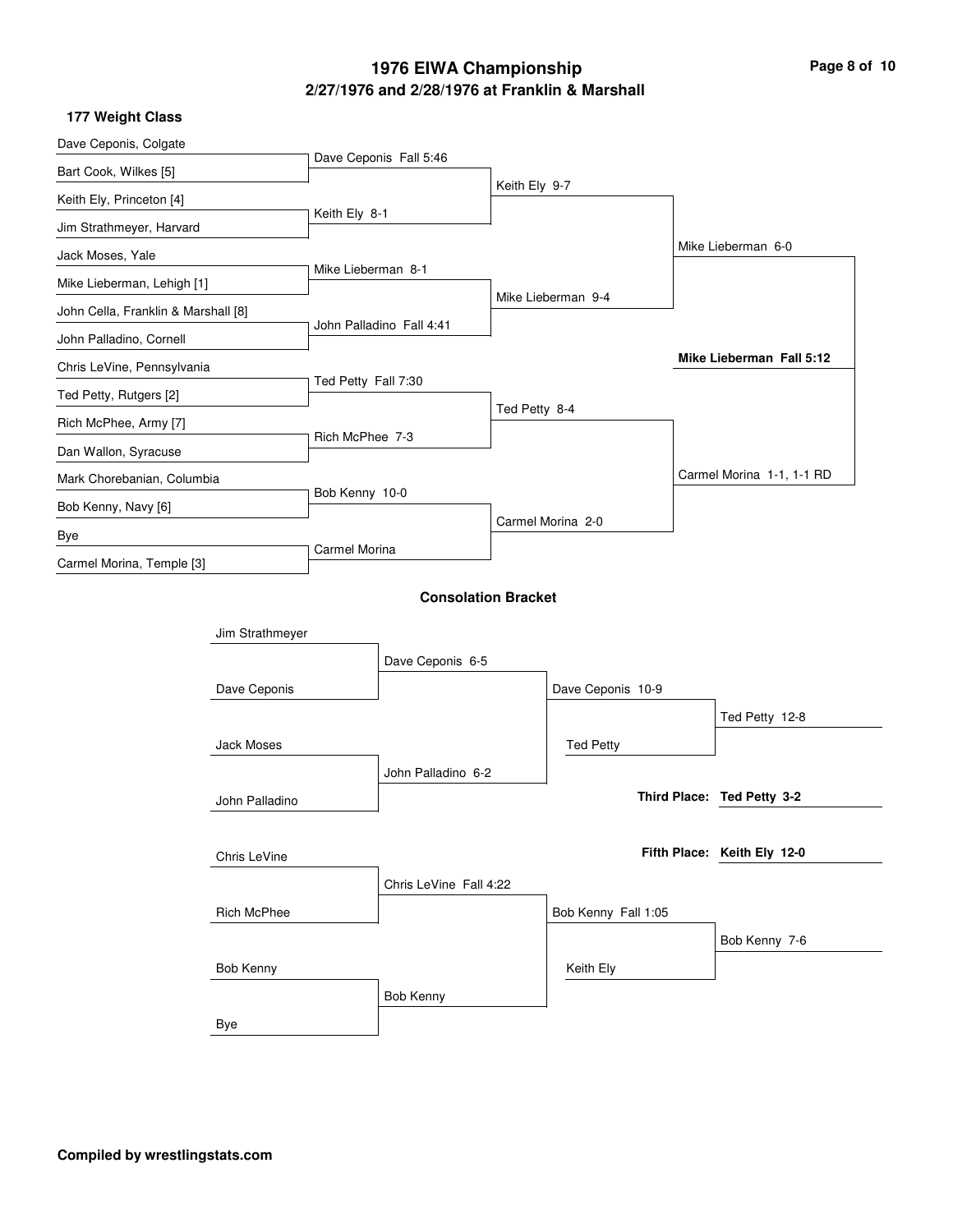# **2/27/1976 and 2/28/1976 at Franklin & Marshall 1976 EIWA Championship Page 8 of 10**

|  | 177 Weight Class |  |
|--|------------------|--|
|--|------------------|--|

| Dave Ceponis, Colgate               |                    |                          |                            |               |                     |                             |
|-------------------------------------|--------------------|--------------------------|----------------------------|---------------|---------------------|-----------------------------|
| Bart Cook, Wilkes [5]               |                    |                          | Dave Ceponis Fall 5:46     |               |                     |                             |
| Keith Ely, Princeton [4]            |                    |                          |                            | Keith Ely 9-7 |                     |                             |
| Jim Strathmeyer, Harvard            |                    | Keith Ely 8-1            |                            |               |                     |                             |
| Jack Moses, Yale                    |                    |                          |                            |               |                     | Mike Lieberman 6-0          |
| Mike Lieberman, Lehigh [1]          |                    | Mike Lieberman 8-1       |                            |               |                     |                             |
| John Cella, Franklin & Marshall [8] |                    |                          |                            |               | Mike Lieberman 9-4  |                             |
| John Palladino, Cornell             |                    | John Palladino Fall 4:41 |                            |               |                     |                             |
| Chris LeVine, Pennsylvania          |                    |                          |                            |               |                     | Mike Lieberman Fall 5:12    |
|                                     |                    | Ted Petty Fall 7:30      |                            |               |                     |                             |
| Ted Petty, Rutgers [2]              |                    |                          |                            | Ted Petty 8-4 |                     |                             |
| Rich McPhee, Army [7]               |                    | Rich McPhee 7-3          |                            |               |                     |                             |
| Dan Wallon, Syracuse                |                    |                          |                            |               |                     | Carmel Morina 1-1, 1-1 RD   |
| Mark Chorebanian, Columbia          |                    | Bob Kenny 10-0           |                            |               |                     |                             |
| Bob Kenny, Navy [6]                 |                    |                          |                            |               | Carmel Morina 2-0   |                             |
| Bye<br>Carmel Morina, Temple [3]    |                    | Carmel Morina            |                            |               |                     |                             |
|                                     |                    |                          |                            |               |                     |                             |
|                                     |                    |                          | <b>Consolation Bracket</b> |               |                     |                             |
|                                     | Jim Strathmeyer    |                          |                            |               |                     |                             |
|                                     |                    |                          | Dave Ceponis 6-5           |               |                     |                             |
|                                     | Dave Ceponis       |                          |                            |               | Dave Ceponis 10-9   |                             |
|                                     |                    |                          |                            |               |                     | Ted Petty 12-8              |
|                                     | Jack Moses         |                          |                            |               | <b>Ted Petty</b>    |                             |
|                                     |                    |                          |                            |               |                     |                             |
|                                     |                    |                          | John Palladino 6-2         |               |                     | Third Place: Ted Petty 3-2  |
|                                     | John Palladino     |                          |                            |               |                     |                             |
|                                     |                    |                          |                            |               |                     | Fifth Place: Keith Ely 12-0 |
|                                     | Chris LeVine       |                          |                            |               |                     |                             |
|                                     |                    |                          | Chris LeVine Fall 4:22     |               |                     |                             |
|                                     | <b>Rich McPhee</b> |                          |                            |               | Bob Kenny Fall 1:05 |                             |
|                                     |                    |                          |                            |               |                     | Bob Kenny 7-6               |
|                                     | Bob Kenny          |                          |                            |               | Keith Ely           |                             |
|                                     |                    |                          | Bob Kenny                  |               |                     |                             |
|                                     | Bye                |                          |                            |               |                     |                             |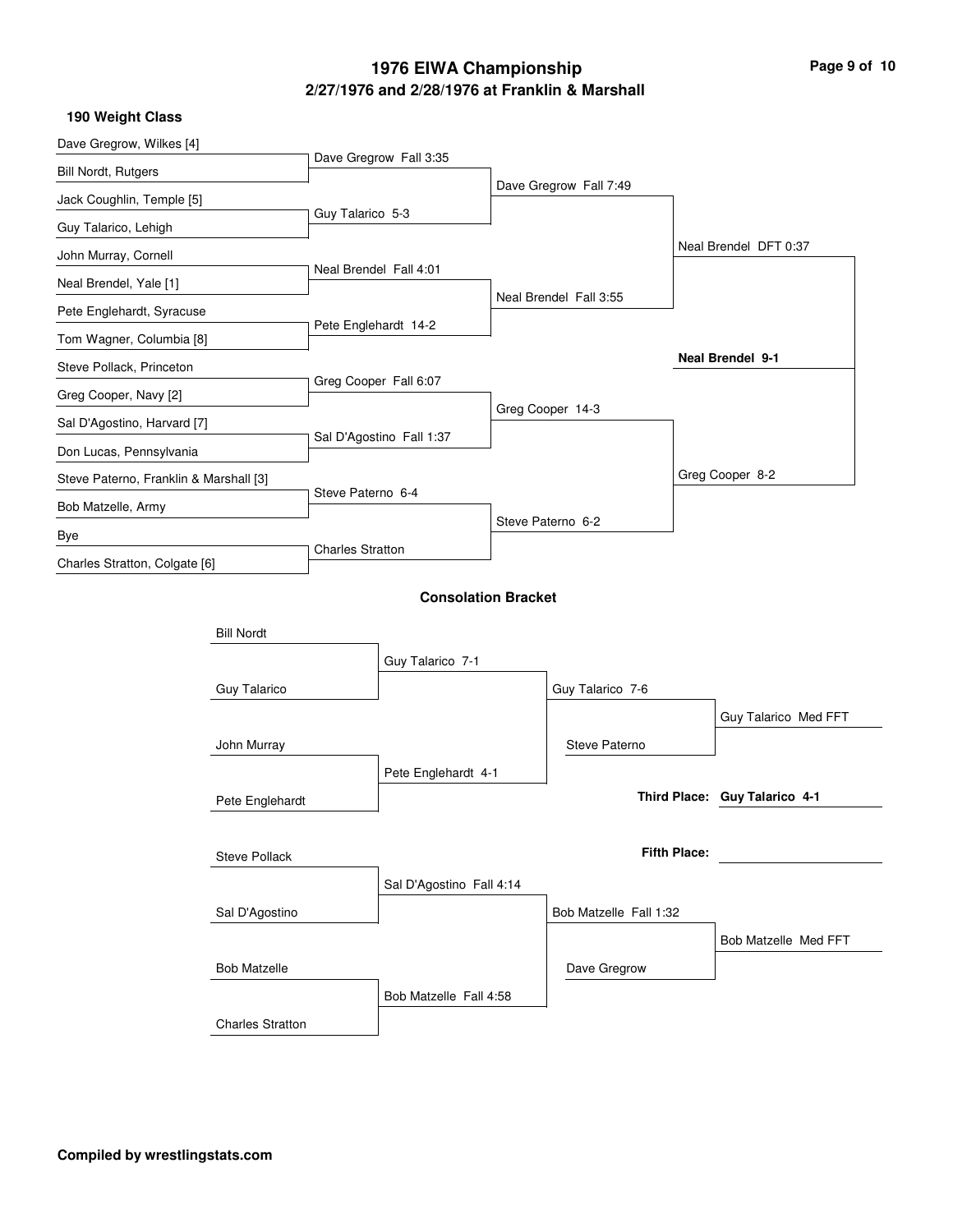# **2/27/1976 and 2/28/1976 at Franklin & Marshall 1976 EIWA Championship Page 9 of 10**

|  |  | 190 Weight Class |  |
|--|--|------------------|--|
|--|--|------------------|--|

| Dave Gregrow, Wilkes [4]               |                         |                         |                            |  |                        |                     |                               |  |
|----------------------------------------|-------------------------|-------------------------|----------------------------|--|------------------------|---------------------|-------------------------------|--|
| <b>Bill Nordt, Rutgers</b>             |                         |                         | Dave Gregrow Fall 3:35     |  |                        |                     |                               |  |
| Jack Coughlin, Temple [5]              |                         |                         |                            |  | Dave Gregrow Fall 7:49 |                     |                               |  |
| Guy Talarico, Lehigh                   |                         | Guy Talarico 5-3        |                            |  |                        |                     |                               |  |
| John Murray, Cornell                   |                         |                         |                            |  |                        |                     | Neal Brendel DFT 0:37         |  |
| Neal Brendel, Yale [1]                 |                         | Neal Brendel Fall 4:01  |                            |  |                        |                     |                               |  |
| Pete Englehardt, Syracuse              |                         |                         |                            |  | Neal Brendel Fall 3:55 |                     |                               |  |
| Tom Wagner, Columbia [8]               |                         | Pete Englehardt 14-2    |                            |  |                        |                     |                               |  |
| Steve Pollack, Princeton               |                         |                         |                            |  |                        |                     | <b>Neal Brendel 9-1</b>       |  |
| Greg Cooper, Navy [2]                  |                         |                         | Greg Cooper Fall 6:07      |  |                        |                     |                               |  |
| Sal D'Agostino, Harvard [7]            |                         |                         |                            |  | Greg Cooper 14-3       |                     |                               |  |
| Don Lucas, Pennsylvania                |                         |                         | Sal D'Agostino Fall 1:37   |  |                        |                     |                               |  |
| Steve Paterno, Franklin & Marshall [3] |                         |                         |                            |  |                        |                     | Greg Cooper 8-2               |  |
| Bob Matzelle, Army                     |                         | Steve Paterno 6-4       |                            |  |                        |                     |                               |  |
| Bye                                    |                         |                         |                            |  | Steve Paterno 6-2      |                     |                               |  |
| Charles Stratton, Colgate [6]          |                         | <b>Charles Stratton</b> |                            |  |                        |                     |                               |  |
|                                        |                         |                         | <b>Consolation Bracket</b> |  |                        |                     |                               |  |
|                                        | <b>Bill Nordt</b>       |                         |                            |  |                        |                     |                               |  |
|                                        |                         |                         | Guy Talarico 7-1           |  |                        |                     |                               |  |
|                                        | Guy Talarico            |                         |                            |  | Guy Talarico 7-6       |                     |                               |  |
|                                        |                         |                         |                            |  |                        |                     | Guy Talarico Med FFT          |  |
|                                        | John Murray             |                         |                            |  | Steve Paterno          |                     |                               |  |
|                                        |                         |                         | Pete Englehardt 4-1        |  |                        |                     |                               |  |
|                                        | Pete Englehardt         |                         |                            |  |                        |                     | Third Place: Guy Talarico 4-1 |  |
|                                        |                         |                         |                            |  |                        |                     |                               |  |
|                                        | <b>Steve Pollack</b>    |                         |                            |  |                        | <b>Fifth Place:</b> |                               |  |
|                                        |                         |                         | Sal D'Agostino Fall 4:14   |  |                        |                     |                               |  |
|                                        | Sal D'Agostino          |                         |                            |  | Bob Matzelle Fall 1:32 |                     |                               |  |
|                                        |                         |                         |                            |  |                        |                     |                               |  |
|                                        |                         |                         |                            |  |                        |                     | Bob Matzelle Med FFT          |  |
|                                        | <b>Bob Matzelle</b>     |                         |                            |  | Dave Gregrow           |                     |                               |  |
|                                        |                         |                         | Bob Matzelle Fall 4:58     |  |                        |                     |                               |  |
|                                        | <b>Charles Stratton</b> |                         |                            |  |                        |                     |                               |  |